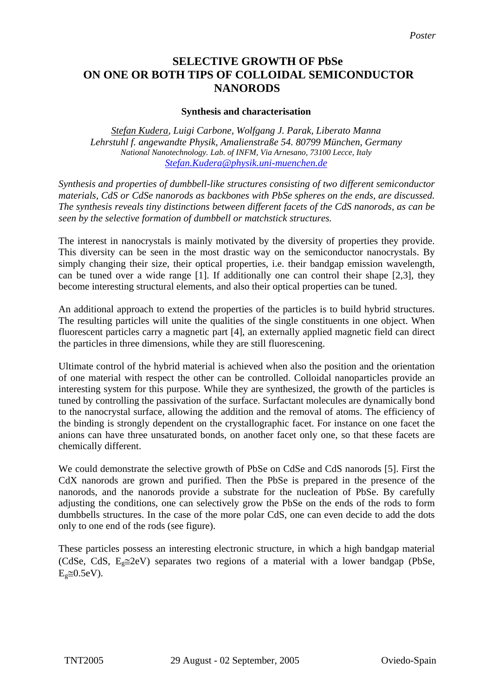## **SELECTIVE GROWTH OF PbSe ON ONE OR BOTH TIPS OF COLLOIDAL SEMICONDUCTOR NANORODS**

## **Synthesis and characterisation**

*Stefan Kudera, Luigi Carbone, Wolfgang J. Parak, Liberato Manna Lehrstuhl f. angewandte Physik, Amalienstraße 54. 80799 München, Germany National Nanotechnology. Lab. of INFM, Via Arnesano, 73100 Lecce, Italy [Stefan.Kudera@physik.uni-muenchen.de](mailto:Stefan.Kudera@physik.uni-muenchen.de)*

*Synthesis and properties of dumbbell-like structures consisting of two different semiconductor materials, CdS or CdSe nanorods as backbones with PbSe spheres on the ends, are discussed. The synthesis reveals tiny distinctions between different facets of the CdS nanorods, as can be seen by the selective formation of dumbbell or matchstick structures.* 

The interest in nanocrystals is mainly motivated by the diversity of properties they provide. This diversity can be seen in the most drastic way on the semiconductor nanocrystals. By simply changing their size, their optical properties, i.e. their bandgap emission wavelength, can be tuned over a wide range [1]. If additionally one can control their shape [2,3], they become interesting structural elements, and also their optical properties can be tuned.

An additional approach to extend the properties of the particles is to build hybrid structures. The resulting particles will unite the qualities of the single constituents in one object. When fluorescent particles carry a magnetic part [4], an externally applied magnetic field can direct the particles in three dimensions, while they are still fluorescening.

Ultimate control of the hybrid material is achieved when also the position and the orientation of one material with respect the other can be controlled. Colloidal nanoparticles provide an interesting system for this purpose. While they are synthesized, the growth of the particles is tuned by controlling the passivation of the surface. Surfactant molecules are dynamically bond to the nanocrystal surface, allowing the addition and the removal of atoms. The efficiency of the binding is strongly dependent on the crystallographic facet. For instance on one facet the anions can have three unsaturated bonds, on another facet only one, so that these facets are chemically different.

We could demonstrate the selective growth of PbSe on CdSe and CdS nanorods [5]. First the CdX nanorods are grown and purified. Then the PbSe is prepared in the presence of the nanorods, and the nanorods provide a substrate for the nucleation of PbSe. By carefully adjusting the conditions, one can selectively grow the PbSe on the ends of the rods to form dumbbells structures. In the case of the more polar CdS, one can even decide to add the dots only to one end of the rods (see figure).

These particles possess an interesting electronic structure, in which a high bandgap material (CdSe, CdS,  $E<sub>e</sub> \cong 2eV$ ) separates two regions of a material with a lower bandgap (PbSe,  $E<sub>g</sub> \cong 0.5eV$ ).